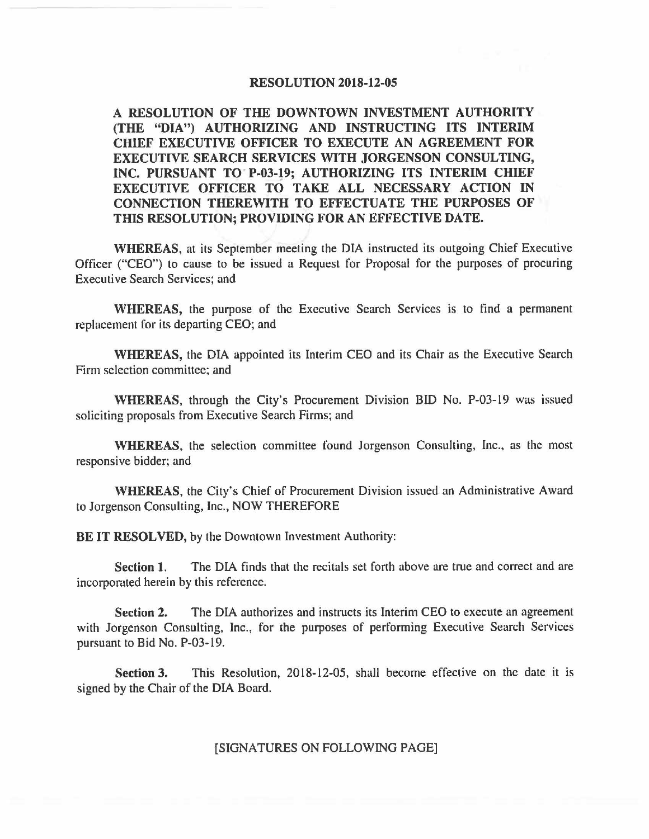## **RESOLUTION 2018-12-05**

**A RESOLUTION OF THE DOWNTOWN INVESTMENT AUTHORITY (THE "DIA") AUTHORIZING AND INSTRUCTING ITS INTERIM CHIEF EXECUTIVE OFFICER TO EXECUTE AN AGREEMENT FOR EXECUTIVE SEARCH SERVICES WITH JORGENSON CONSULTING,**  INC. PURSUANT TO P-03-19; AUTHORIZING ITS INTERIM CHIEF **EXECUTIVE OFFICER TO TAKE ALL NECESSARY ACTION IN CONNECTION THEREWITH TO EFFECTUATE THE PURPOSES OF THIS RESOLUTION; PROVIDING FOR AN EFFECTIVE DATE.** 

**WHEREAS,** at its September meeting the DIA instructed its outgoing Chief Executive Officer ("CEO") to cause to be issued a Request for Proposal for the purposes of procuring Executive Search Services; and

**WHEREAS,** the purpose of the Executive Search Services is to find a permanent replacement for its departing CEO; and

**WHEREAS,** the DIA appointed its Interim CEO and its Chair as the Executive Search Firm selection committee; and

**WHEREAS,** through the City's Procurement Division BID No. P-03-19 was issued soliciting proposals from Executive Search Firms; and

**WHEREAS,** the selection committee found Jorgenson Consulting, Inc., as the most responsive bidder; and

**WHEREAS,** the City's Chief of Procurement Division issued an Administrative Award to Jorgenson Consulting, Inc., NOW THEREFORE

**BE IT RESOLVED,** by the Downtown Investment Authority:

**Section 1.** The DIA finds that the recitals set forth above are true and correct and are incorporated herein by this reference.

**Section 2.** The DIA authorizes and instructs its Interim CEO to execute an agreement with Jorgenson Consulting, Inc., for the purposes of performing Executive Search Services pursuant to Bid No. P-03-19.

**Section 3.** This Resolution, 2018-12-05, shall become effective on the date it is signed by the Chair of the DIA Board.

## [SIGNATURES ON FOLLOWING PAGE]